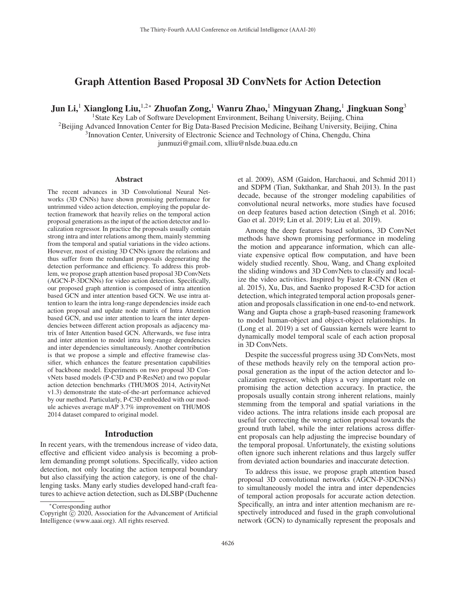# Graph Attention Based Proposal 3D ConvNets for Action Detection

Jun Li,<sup>1</sup> Xianglong Liu,<sup>1,2∗</sup> Zhuofan Zong,<sup>1</sup> Wanru Zhao,<sup>1</sup> Mingyuan Zhang,<sup>1</sup> Jingkuan Song<sup>3</sup>

<sup>1</sup>State Key Lab of Software Development Environment, Beihang University, Beijing, China <sup>2</sup>Beijing Advanced Innovation Center for Big Data-Based Precision Medicine, Beihang University, Beijing, China <sup>3</sup> Innovation Center, University of Electronic Science and Technology of China, Chengdu, China junmuzi@gmail.com, xlliu@nlsde.buaa.edu.cn

#### Abstract

The recent advances in 3D Convolutional Neural Networks (3D CNNs) have shown promising performance for untrimmed video action detection, employing the popular detection framework that heavily relies on the temporal action proposal generations as the input of the action detector and localization regressor. In practice the proposals usually contain strong intra and inter relations among them, mainly stemming from the temporal and spatial variations in the video actions. However, most of existing 3D CNNs ignore the relations and thus suffer from the redundant proposals degenerating the detection performance and efficiency. To address this problem, we propose graph attention based proposal 3D ConvNets (AGCN-P-3DCNNs) for video action detection. Specifically, our proposed graph attention is composed of intra attention based GCN and inter attention based GCN. We use intra attention to learn the intra long-range dependencies inside each action proposal and update node matrix of Intra Attention based GCN, and use inter attention to learn the inter dependencies between different action proposals as adjacency matrix of Inter Attention based GCN. Afterwards, we fuse intra and inter attention to model intra long-range dependencies and inter dependencies simultaneously. Another contribution is that we propose a simple and effective framewise classifier, which enhances the feature presentation capabilities of backbone model. Experiments on two proposal 3D ConvNets based models (P-C3D and P-ResNet) and two popular action detection benchmarks (THUMOS 2014, ActivityNet v1.3) demonstrate the state-of-the-art performance achieved by our method. Particularly, P-C3D embedded with our module achieves average mAP 3.7% improvement on THUMOS 2014 dataset compared to original model.

#### Introduction

In recent years, with the tremendous increase of video data, effective and efficient video analysis is becoming a problem demanding prompt solutions. Specifically, video action detection, not only locating the action temporal boundary but also classifying the action category, is one of the challenging tasks. Many early studies developed hand-craft features to achieve action detection, such as DLSBP (Duchenne

et al. 2009), ASM (Gaidon, Harchaoui, and Schmid 2011) and SDPM (Tian, Sukthankar, and Shah 2013). In the past decade, because of the stronger modeling capabilities of convolutional neural networks, more studies have focused on deep features based action detection (Singh et al. 2016; Gao et al. 2019; Lin et al. 2019; Liu et al. 2019).

Among the deep features based solutions, 3D ConvNet methods have shown promising performance in modeling the motion and appearance information, which can alleviate expensive optical flow computation, and have been widely studied recently. Shou, Wang, and Chang exploited the sliding windows and 3D ConvNets to classify and localize the video activities. Inspired by Faster R-CNN (Ren et al. 2015), Xu, Das, and Saenko proposed R-C3D for action detection, which integrated temporal action proposals generation and proposals classification in one end-to-end network. Wang and Gupta chose a graph-based reasoning framework to model human-object and object-object relationships. In (Long et al. 2019) a set of Gaussian kernels were learnt to dynamically model temporal scale of each action proposal in 3D ConvNets.

Despite the successful progress using 3D ConvNets, most of these methods heavily rely on the temporal action proposal generation as the input of the action detector and localization regressor, which plays a very important role on promising the action detection accuracy. In practice, the proposals usually contain strong inherent relations, mainly stemming from the temporal and spatial variations in the video actions. The intra relations inside each proposal are useful for correcting the wrong action proposal towards the ground truth label, while the inter relations across different proposals can help adjusting the imprecise boundary of the temporal proposal. Unfortunately, the existing solutions often ignore such inherent relations and thus largely suffer from deviated action boundaries and inaccurate detection.

To address this issue, we propose graph attention based proposal 3D convolutional networks (AGCN-P-3DCNNs) to simultaneously model the intra and inter dependencies of temporal action proposals for accurate action detection. Specifically, an intra and inter attention mechanism are respectively introduced and fused in the graph convolutional network (GCN) to dynamically represent the proposals and

<sup>∗</sup>Corresponding author

Copyright  $\odot$  2020, Association for the Advancement of Artificial Intelligence (www.aaai.org). All rights reserved.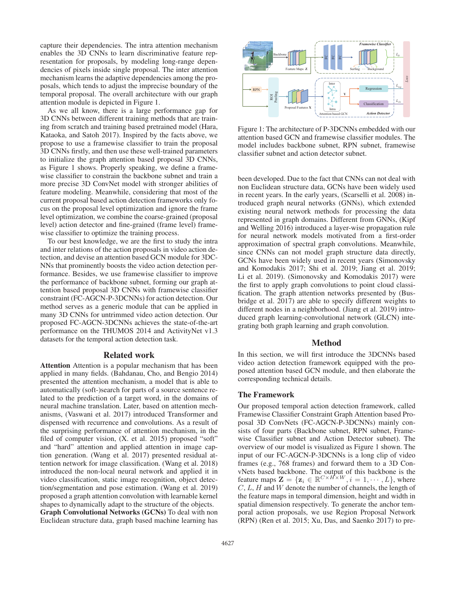capture their dependencies. The intra attention mechanism enables the 3D CNNs to learn discriminative feature representation for proposals, by modeling long-range dependencies of pixels inside single proposal. The inter attention mechanism learns the adaptive dependencies among the proposals, which tends to adjust the imprecise boundary of the temporal proposal. The overall architecture with our graph attention module is depicted in Figure 1.

As we all know, there is a large performance gap for 3D CNNs between different training methods that are training from scratch and training based pretrained model (Hara, Kataoka, and Satoh 2017). Inspired by the facts above, we propose to use a framewise classifier to train the proposal 3D CNNs firstly, and then use these well-trained parameters to initialize the graph attention based proposal 3D CNNs, as Figure 1 shows. Properly speaking, we define a framewise classifier to constrain the backbone subnet and train a more precise 3D ConvNet model with stronger abilities of feature modeling. Meanwhile, considering that most of the current proposal based action detection frameworks only focus on the proposal level optimization and ignore the frame level optimization, we combine the coarse-grained (proposal level) action detector and fine-grained (frame level) framewise classifier to optimize the training process.

To our best knowledge, we are the first to study the intra and inter relations of the action proposals in video action detection, and devise an attention based GCN module for 3DC-NNs that prominently boosts the video action detection performance. Besides, we use framewise classifier to improve the performance of backbone subnet, forming our graph attention based proposal 3D CNNs with framewise classifier constraint (FC-AGCN-P-3DCNNs) for action detection. Our method serves as a generic module that can be applied in many 3D CNNs for untrimmed video action detection. Our proposed FC-AGCN-3DCNNs achieves the state-of-the-art performance on the THUMOS 2014 and ActivityNet v1.3 datasets for the temporal action detection task.

#### Related work

Attention Attention is a popular mechanism that has been applied in many fields. (Bahdanau, Cho, and Bengio 2014) presented the attention mechanism, a model that is able to automatically (soft-)search for parts of a source sentence related to the prediction of a target word, in the domains of neural machine translation. Later, based on attention mechanisms, (Vaswani et al. 2017) introduced Transformer and dispensed with recurrence and convolutions. As a result of the surprising performance of attention mechanism, in the filed of computer vision, (X. et al. 2015) proposed "soft" and "hard" attention and applied attention in image caption generation. (Wang et al. 2017) presented residual attention network for image classification. (Wang et al. 2018) introduced the non-local neural network and applied it in video classification, static image recognition, object detection/segmentation and pose estimation. (Wang et al. 2019) proposed a graph attention convolution with learnable kernel shapes to dynamically adapt to the structure of the objects. Graph Convolutional Networks (GCNs) To deal with non Euclidean structure data, graph based machine learning has



Figure 1: The architecture of P-3DCNNs embedded with our attention based GCN and framewise classifier modules. The model includes backbone subnet, RPN subnet, framewise classifier subnet and action detector subnet.

been developed. Due to the fact that CNNs can not deal with non Euclidean structure data, GCNs have been widely used in recent years. In the early years, (Scarselli et al. 2008) introduced graph neural networks (GNNs), which extended existing neural network methods for processing the data represented in graph domains. Different from GNNs, (Kipf and Welling 2016) introduced a layer-wise propagation rule for neural network models motivated from a first-order approximation of spectral graph convolutions. Meanwhile, since CNNs can not model graph structure data directly, GCNs have been widely used in recent years (Simonovsky and Komodakis 2017; Shi et al. 2019; Jiang et al. 2019; Li et al. 2019). (Simonovsky and Komodakis 2017) were the first to apply graph convolutions to point cloud classification. The graph attention networks presented by (Busbridge et al. 2017) are able to specify different weights to different nodes in a neighborhood. (Jiang et al. 2019) introduced graph learning-convolutional network (GLCN) integrating both graph learning and graph convolution.

# Method

In this section, we will first introduce the 3DCNNs based video action detection framework equipped with the proposed attention based GCN module, and then elaborate the corresponding technical details.

### The Framework

Our proposed temporal action detection framework, called Framewise Classifier Constraint Graph Attention based Proposal 3D ConvNets (FC-AGCN-P-3DCNNs) mainly consists of four parts (Backbone subnet, RPN subnet, Framewise Classifier subnet and Action Detector subnet). The overview of our model is visualized as Figure 1 shown. The input of our FC-AGCN-P-3DCNNs is a long clip of video frames (e.g., 768 frames) and forward them to a 3D ConvNets based backbone. The output of this backbone is the feature maps  $\mathbf{Z} = {\mathbf{z}_i \in \mathbb{R}^{C \times H \times W}, i = 1, \cdots, L}$ , where  $C, L, H$  and  $W$  denote the number of channels, the length of the feature maps in temporal dimension, height and width in spatial dimension respectively. To generate the anchor temporal action proposals, we use Region Proposal Network (RPN) (Ren et al. 2015; Xu, Das, and Saenko 2017) to pre-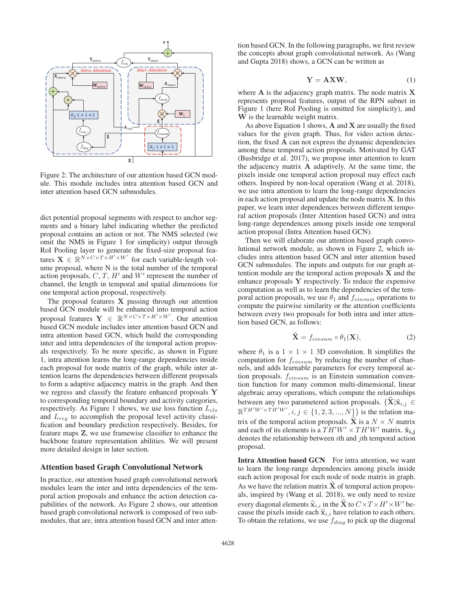

Figure 2: The architecture of our attention based GCN module. This module includes intra attention based GCN and inter attention based GCN submodules.

dict potential proposal segments with respect to anchor segments and a binary label indicating whether the predicted proposal contains an action or not. The NMS selected (we omit the NMS in Figure 1 for simplicity) output through RoI Pooling layer to generate the fixed-size proposal features  $\mathbf{X} \in \mathbb{R}^{N \times C \times T \times H' \times W'}$  for each variable-length volume proposal, where N is the total number of the temporal action proposals,  $C, T, H'$  and  $W'$  represent the number of channel, the length in temporal and spatial dimensions for one temporal action proposal, respectively.

The proposal features **X** passing through our attention based GCN module will be enhanced into temporal action proposal features  $Y \in \mathbb{R}^{N \times C \times T \times H' \times W'}$ . Our attention based GCN module includes inter attention based GCN and intra attention based GCN, which build the corresponding inter and intra dependencies of the temporal action proposals respectively. To be more specific, as shown in Figure 1, intra attention learns the long-range dependencies inside each proposal for node matrix of the graph, while inter attention learns the dependencies between different proposals to form a adaptive adjacency matrix in the graph. And then we regress and classify the feature enhanced proposals **Y** to corresponding temporal boundary and activity categories, respectively. As Figure 1 shows, we use loss function  $L_{cls}$ and  $L_{reg}$  to accomplish the proposal level activity classification and boundary prediction respectively. Besides, for feature maps **Z**, we use framewise classifier to enhance the backbone feature representation abilities. We will present more detailed design in later section.

### Attention based Graph Convolutional Network

In practice, our attention based graph convolutional network modules learn the inter and intra dependencies of the temporal action proposals and enhance the action detection capabilities of the network. As Figure 2 shows, our attention based graph convolutional network is composed of two submodules, that are, intra attention based GCN and inter atten-

tion based GCN. In the following paragraphs, we first review the concepts about graph convolutional network. As (Wang and Gupta 2018) shows, a GCN can be written as

$$
Y = AXW, \tag{1}
$$

where **A** is the adjacency graph matrix. The node matrix **X** represents proposal features, output of the RPN subnet in Figure 1 (here RoI Pooling is omitted for simplicity), and **W** is the learnable weight matrix.

As above Equation 1 shows, **A** and **X** are usually the fixed values for the given graph. Thus, for video action detection, the fixed **A** can not express the dynamic dependencies among these temporal action proposals. Motivated by GAT (Busbridge et al. 2017), we propose inter attention to learn the adjacency matrix **A** adaptively. At the same time, the pixels inside one temporal action proposal may effect each others. Inspired by non-local operation (Wang et al. 2018), we use intra attention to learn the long-range dependencies in each action proposal and update the node matrix **X**. In this paper, we learn inter dependences between different temporal action proposals (Inter Attention based GCN) and intra long-range dependences among pixels inside one temporal action proposal (Intra Attention based GCN).

Then we will elaborate our attention based graph convolutional network module, as shown in Figure 2, which includes intra attention based GCN and inter attention based GCN submodules. The inputs and outputs for our graph attention module are the temporal action proposals **X** and the enhance proposals **Y** respectively. To reduce the expensive computation as well as to learn the dependencies of the temporal action proposals, we use  $\theta_1$  and  $f_{einsum}$  operations to compute the pairwise similarity or the attention coefficients between every two proposals for both intra and inter attention based GCN, as follows:

$$
\hat{\mathbf{X}} = f_{einsum} \circ \theta_1(\mathbf{X}),\tag{2}
$$

where  $\theta_1$  is a  $1 \times 1 \times 1$  3D convolution. It simplifies the computation for  $f_{einsum}$  by reducing the number of channels, and adds learnable parameters for every temporal action proposals.  $f_{einsum}$  is an Einstein summation convention function for many common multi-dimensional, linear algebraic array operations, which compute the relationships between any two parametered action proposals.  $\{ \mathbf{X} | \hat{\mathbf{x}}_{i,j} \in$  $\mathbb{R}^{TH'W' \times TH'W'}, i, j \in \{1, 2, 3, ..., N\}\}$  is the relation matrix of the temporal action proposals. **X** is a  $N \times N$  matrix and each of its elements is a  $TH'W' \times TH'W'$  matrix.  $\hat{\mathbf{x}}_{\mathbf{i},\mathbf{j}}$ denotes the relationship between  $i$ th and  $j$ th temporal action proposal.

Intra Attention based GCN For intra attention, we want to learn the long-range dependencies among pixels inside each action proposal for each node of node matrix in graph. As we have the relation matrix  $X$  of temporal action proposals, inspired by (Wang et al. 2018), we only need to resize every diagonal elements  $\hat{\mathbf{x}}_{i,i}$  in the **X** to  $C \times T \times H' \times W'$  because the pixels inside each  $\hat{\mathbf{x}}_{i,i}$  have relation to each others. To obtain the relations, we use  $f_{diag}$  to pick up the diagonal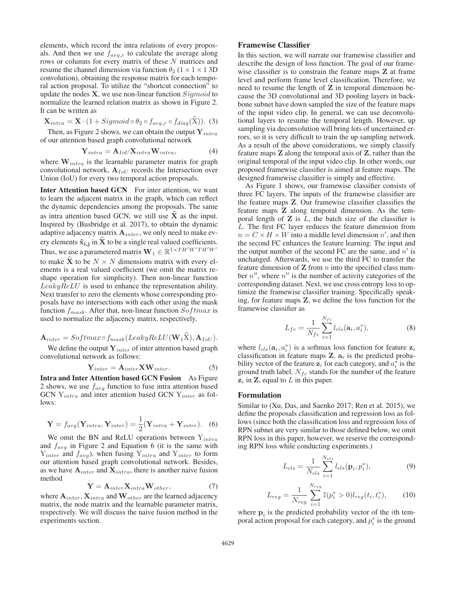elements, which record the intra relations of every proposals. And then we use  $f_{avg,r}$  to calculate the average along rows or columns for every matrix of these N matrices and resume the channel dimension via function  $\theta_2$  (1 × 1 × 1 3D) convolution), obtaining the response matrix for each temporal action proposal. To utilize the "shortcut connection" to update the nodes  $X$ , we use non-linear function  $Sigmoid$  to normalize the learned relation matrix as shown in Figure 2. It can be written as

$$
\mathbf{X}_{intra} = \mathbf{X} \cdot (1 + Sigmoid \circ \theta_2 \circ f_{avg.r} \circ f_{diag}(\widehat{\mathbf{X}})). \tag{3}
$$

Then, as Figure 2 shows, we can obtain the output  $Y_{intra}$ of our attention based graph convolutional network

$$
\mathbf{Y}_{intra} = \mathbf{A}_{IoU} \mathbf{X}_{intra} \mathbf{W}_{intra},\tag{4}
$$

where  $W_{intra}$  is the learnable parameter matrix for graph convolutional network,  $A_{IoU}$  records the Intersection over Union (IoU) for every two temporal action proposals.

Inter Attention based GCN For inter attention, we want to learn the adjacent matrix in the graph, which can reflect the dynamic dependencies among the proposals. The same as intra attention based GCN, we still use **X**- as the input. Inspired by (Busbridge et al. 2017), to obtain the dynamic adaptive adjacency matrix **A**inter, we only need to make every elements  $\hat{\mathbf{x}}_{\mathbf{i},\mathbf{j}}$  in **X** to be a single real valued coefficients. Thus, we use a parametered matrix  $\mathbf{W}_1 \in \mathbb{R}^{1 \times TH'W'TH'W'}$ to make **X** to be  $N \times N$  dimensions matrix with every elements is a real valued coefficient (we omit the matrix reshape operation for simplicity). Then non-linear function LeakyReLU is used to enhance the representation ability. Next transfer to zero the elements whose corresponding proposals have no intersections with each other using the mask function  $f_{mask}$ . After that, non-linear function  $Softmax$  is used to normalize the adjacency matrix, respectively.

$$
\mathbf{A}_{inter} = Softmax \circ f_{mask}(LeakyReLU(\mathbf{W}_1 \mathbf{X}), \mathbf{A}_{IoU}).
$$

We define the output  $Y_{inter}$  of inter attention based graph convolutional network as follows:

$$
Y_{inter} = A_{inter} X W_{inter}.
$$
 (5)

Intra and Inter Attention based GCN Fusion As Figure 2 shows, we use  $f_{avg}$  function to fuse intra attention based GCN  $Y_{intra}$  and inter attention based GCN  $Y_{inter}$  as follows:

$$
\mathbf{Y} = f_{avg}(\mathbf{Y}_{intra}, \mathbf{Y}_{inter}) = \frac{1}{2}(\mathbf{Y}_{intra} + \mathbf{Y}_{inter}).
$$
 (6)

We omit the BN and ReLU operations between  $Y_{intra}$ and  $f_{avg}$  in Figure 2 and Equation 6 (it is the same with  $Y_{inter}$  and  $f_{avg}$ ), when fusing  $Y_{intra}$  and  $Y_{inter}$  to form our attention based graph convolutional network. Besides, as we have  $A_{inter}$  and  $X_{intra}$ , there is another naive fusion method

$$
\mathbf{Y} = \mathbf{A}_{inter} \mathbf{X}_{intra} \mathbf{W}_{other},\tag{7}
$$

where  $A_{inter}$ ,  $X_{intra}$  and  $W_{other}$  are the learned adjacency matrix, the node matrix and the learnable parameter matrix, respectively. We will discuss the naive fusion method in the experiments section.

### Framewise Classifier

In this section, we will narrate our framewise classifier and describe the design of loss function. The goal of our framewise classifier is to constrain the feature maps **Z** at frame level and perform frame level classification. Therefore, we need to resume the length of **Z** in temporal dimension because the 3D convolutional and 3D pooling layers in backbone subnet have down sampled the size of the feature maps of the input video clip. In general, we can use deconvolutional layers to resume the temporal length. However, up sampling via deconvolution will bring lots of uncertained errors, so it is very difficult to train the up sampling network. As a result of the above considerations, we simply classify feature maps **Z** along the temporal axis of **Z**, rather than the original temporal of the input video clip. In other words, our proposed framewise classifier is aimed at feature maps. The designed framewise classifier is simply and effective.

As Figure 1 shows, our framewise classifier consists of three FC layers. The inputs of the framewise classifier are the feature maps **Z**. Our framewise classifier classifies the feature maps **Z** along temporal dimension. As the temporal length of **Z** is L, the batch size of the classifier is L. The first FC layer reduces the feature dimension from  $n = C \times H \times W$  into a middle level dimension n', and then the second FC enhances the feature learning. The input and the output number of the second FC are the same, and  $n'$  is unchanged. Afterwards, we use the third FC to transfer the feature dimension of  $Z$  from  $n$  into the specified class number  $n''$ , where  $n''$  is the number of activity categories of the corresponding dataset. Next, we use cross entropy loss to optimize the framewise classifier training. Specifically speaking, for feature maps **Z**, we define the loss function for the framewise classifier as

$$
L_{fc} = \frac{1}{N_{fc}} \sum_{i=1}^{N_{fc}} l_{cls}(\mathbf{a}_i, a_i^*),
$$
 (8)

where  $l_{cls}(\mathbf{a}_i, a_i^*)$  is a softmax loss function for feature  $\mathbf{z}_i$ classification in feature maps  $\mathbf{Z}$ .  $\mathbf{a}_i$  is the predicted probability vector of the feature  $z_i$  for each category, and  $a_i^*$  is the ground truth label.  $N_{fc}$  stands for the number of the feature  $z_i$  in  $\mathbf{Z}$ , equal to  $L$  in this paper.

# Formulation

Similar to (Xu, Das, and Saenko 2017; Ren et al. 2015), we define the proposals classification and regression loss as follows (since both the classification loss and regression loss of RPN subnet are very similar to those defined below, we omit RPN loss in this paper, however, we reserve the corresponding RPN loss while conducting experiments.)

$$
L_{cls} = \frac{1}{N_{cls}} \sum_{i=1}^{N_{cls}} l_{cls}(\mathbf{p}_i, p_i^*),
$$
 (9)

$$
L_{reg} = \frac{1}{N_{reg}} \sum_{i=1}^{N_{reg}} \mathbb{I}(p_i^* > 0) l_{reg}(t_i, t_i^*),
$$
 (10)

where  $\mathbf{p}_i$  is the predicted probability vector of the *i*th temporal action proposal for each category, and  $p_i^*$  is the ground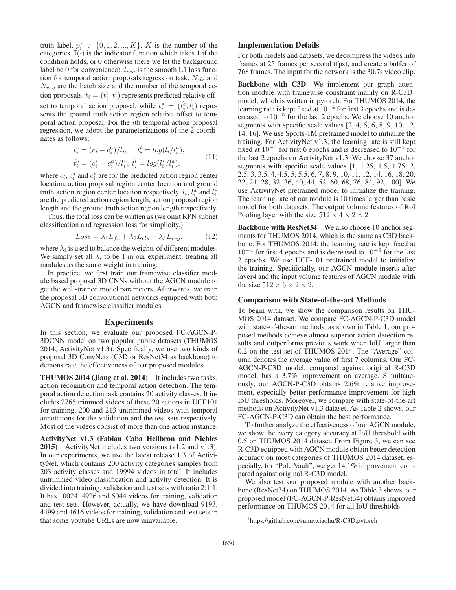truth label,  $p_i^* \in \{0, 1, 2, ..., K\}$ , K is the number of the categories.  $\mathbb{I}(\cdot)$  is the indicator function which takes 1 if the condition holds, or 0 otherwise (here we let the background label be 0 for convenience).  $l_{reg}$  is the smooth L1 loss function for temporal action proposals regression task.  $N_{cls}$  and  $N_{req}$  are the batch size and the number of the temporal action proposals.  $t_i = (t_i^c, t_i^l)$  represents predicted relative offset to temporal action proposal, while  $t_i^* = (\hat{t}_i^c, \hat{t}_i^l)$  represents the ground truth action region relative offset to temporal action proposal. For the ith temporal action proposal regression, we adopt the parameterizations of the 2 coordinates as follows:

$$
t_i^c = (c_i - c_i^a)/l_i, \t t_i^l = \log(l_i/l_i^a),
$$
  
\n
$$
\hat{t}_i^c = (c_i^* - c_i^a)/l_i^*, \hat{t}_i^l = \log(l_i^*/l_i^a),
$$
\n(11)

where  $c_i$ ,  $c_i^a$  and  $c_i^*$  are for the predicted action region center location, action proposal region center location and ground truth action region center location respectively.  $l_i$ ,  $l_i^a$  and  $l_i^*$ are the predicted action region length, action proposal region length and the ground truth action region length respectively.

Thus, the total loss can be written as (we omit RPN subnet classification and regression loss for simplicity.)

$$
Loss = \lambda_1 L_{fc} + \lambda_2 L_{cls} + \lambda_3 L_{reg}, \tag{12}
$$

where  $\lambda_i$  is used to balance the weights of different modules. We simply set all  $\lambda_i$  to be 1 in our experiment, treating all modules as the same weight in training.

In practice, we first train our framewise classifier module based proposal 3D CNNs without the AGCN module to get the well-trained model parameters. Afterwards, we train the proposal 3D convolutional networks equipped with both AGCN and framewise classifier modules.

### Experiments

In this section, we evaluate our proposed FC-AGCN-P-3DCNN model on two popular public datasets (THUMOS 2014, ActivityNet v1.3). Specifically, we use two kinds of proposal 3D ConvNets (C3D or ResNet34 as backbone) to demonstrate the effectiveness of our proposed modules.

THUMOS 2014 (Jiang et al. 2014) It includes two tasks, action recognition and temporal action detection. The temporal action detection task contains 20 activity classes. It includes 2765 trimmed videos of these 20 actions in UCF101 for training, 200 and 213 untrimmed videos with temporal annotations for the validation and the test sets respectively. Most of the videos consist of more than one action instance.

ActivityNet v1.3 (Fabian Caba Heilbron and Niebles 2015) ActivityNet includes two versions (v1.2 and v1.3). In our experiments, we use the latest release 1.3 of ActivityNet, which contains 200 activity categories samples from 203 activity classes and 19994 videos in total. It includes untrimmed video classification and activity detection. It is divided into training, validation and test sets with ratio 2:1:1. It has 10024, 4926 and 5044 videos for training, validation and test sets. However, actually, we have download 9193, 4499 and 4616 videos for training, validation and test sets in that some youtube URLs are now unavailable.

## Implementation Details

For both models and datasets, we decompress the videos into frames at 25 frames per second (fps), and create a buffer of 768 frames. The input for the network is the 30.7s video clip.

Backbone with C3D We implement our graph attention module with framewise constraint mainly on  $R$ -C3D<sup>1</sup> model, which is written in pytorch. For THUMOS 2014, the learning rate is kept fixed at 10−<sup>4</sup> for first 3 epochs and is decreased to 10−<sup>5</sup> for the last 2 epochs. We choose 10 anchor segments with specific scale values [2, 4, 5, 6, 8, 9, 10, 12, 14, 16]. We use Sports-1M pretrained model to initialize the training. For ActivityNet v1.3, the learning rate is still kept fixed at  $10^{-4}$  for first 6 epochs and is decreased to  $10^{-5}$  for the last 2 epochs on ActivityNet v1.3. We choose 37 anchor segments with specific scale values [1, 1.25, 1.5, 1.75, 2, 2.5, 3, 3.5, 4, 4.5, 5, 5.5, 6, 7, 8, 9, 10, 11, 12, 14, 16, 18, 20, 22, 24, 28, 32, 36, 40, 44, 52, 60, 68, 76, 84, 92, 100]. We use ActivityNet pretrained model to initialize the training. The learning rate of our module is 10 times larger than basic model for both datasets. The output volume features of RoI Pooling layer with the size  $512 \times 4 \times 2 \times 2$ 

Backbone with ResNet34 We also choose 10 anchor segments for THUMOS 2014, which is the same as C3D backbone. For THUMOS 2014, the learning rate is kept fixed at  $10^{-4}$  for first 4 epochs and is decreased to  $10^{-5}$  for the last 2 epochs. We use UCF-101 pretrained model to initialize the training. Specificially, our AGCN module inserts after layer4 and the input volume features of AGCN module with the size  $512 \times 6 \times 2 \times 2$ .

#### Comparison with State-of-the-art Methods

To begin with, we show the comparison results on THU-MOS 2014 dataset. We compare FC-AGCN-P-C3D model with state-of-the-art methods, as shown in Table 1, our proposed methods achieve almost superior action detection results and outperforms previous work when IoU larger than 0.2 on the test set of THUMOS 2014. The "Average" column denotes the average value of first 7 columns. Our FC-AGCN-P-C3D model, compared against original R-C3D model, has a 3.7% improvement on average. Simultaneously, our AGCN-P-C3D obtains 2.6% relative improvement, especially better performance improvement for high IoU thresholds. Moreover, we compare with state-of-the-art methods on ActivityNet v1.3 dataset. As Table 2 shows, our FC-AGCN-P-C3D can obtain the best performance.

To further analyze the effectiveness of our AGCN module, we show the every category accuracy at IoU threshold with 0.5 on THUMOS 2014 dataset. From Figure 3, we can see R-C3D equipped with AGCN module obtain better detection accuracy on most categories of THUMOS 2014 dataset, especially, for "Pole Vault", we get 14.1% improvement compared against original R-C3D model.

We also test our proposed module with another backbone (ResNet34) on THUMOS 2014. As Table 3 shows, our proposed model (FC-AGCN-P-ResNet34) obtains improved performance on THUMOS 2014 for all IoU thresholds.

<sup>1</sup> https://github.com/sunnyxiaohu/R-C3D.pytorch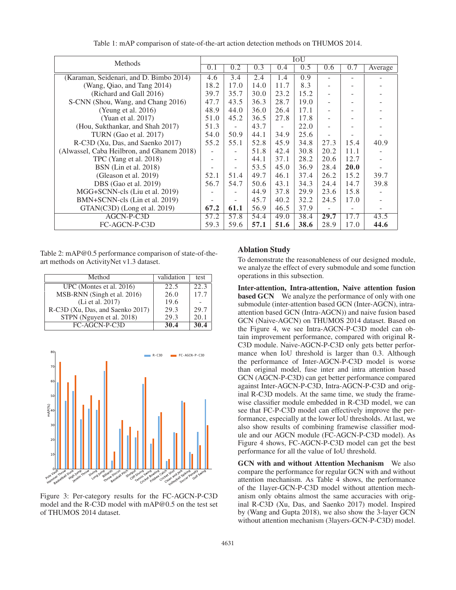| Methods                                    |      | IoU                      |      |                          |      |      |      |         |
|--------------------------------------------|------|--------------------------|------|--------------------------|------|------|------|---------|
|                                            | 0.1  | 0.2                      | 0.3  | 0.4                      | 0.5  | 0.6  | 0.7  | Average |
| (Karaman, Seidenari, and D. Bimbo 2014)    | 4.6  | 3.4                      | 2.4  | 1.4                      | 0.9  |      |      |         |
| (Wang, Qiao, and Tang 2014)                | 18.2 | 17.0                     | 14.0 | 11.7                     | 8.3  |      |      |         |
| (Richard and Gall 2016)                    | 39.7 | 35.7                     | 30.0 | 23.2                     | 15.2 |      |      |         |
| S-CNN (Shou, Wang, and Chang 2016)         | 47.7 | 43.5                     | 36.3 | 28.7                     | 19.0 |      |      |         |
| (Yeung et al. $2016$ )                     | 48.9 | 44.0                     | 36.0 | 26.4                     | 17.1 |      |      |         |
| (Yuan et al. 2017)                         | 51.0 | 45.2                     | 36.5 | 27.8                     | 17.8 |      |      |         |
| (Hou, Sukthankar, and Shah 2017)           | 51.3 | $\overline{\phantom{a}}$ | 43.7 | $\overline{\phantom{a}}$ | 22.0 |      |      |         |
| TURN (Gao et al. 2017)                     | 54.0 | 50.9                     | 44.1 | 34.9                     | 25.6 |      |      |         |
| R-C3D (Xu, Das, and Saenko 2017)           | 55.2 | 55.1                     | 52.8 | 45.9                     | 34.8 | 27.3 | 15.4 | 40.9    |
| (Alwassel, Caba Heilbron, and Ghanem 2018) |      |                          | 51.8 | 42.4                     | 30.8 | 20.2 | 11.1 |         |
| TPC (Yang et al. 2018)                     | ۰    | $\overline{\phantom{a}}$ | 44.1 | 37.1                     | 28.2 | 20.6 | 12.7 |         |
| BSN (Lin et al. 2018)                      |      |                          | 53.5 | 45.0                     | 36.9 | 28.4 | 20.0 |         |
| (Gleason et al. $2019$ )                   | 52.1 | 51.4                     | 49.7 | 46.1                     | 37.4 | 26.2 | 15.2 | 39.7    |
| DBS (Gao et al. 2019)                      | 56.7 | 54.7                     | 50.6 | 43.1                     | 34.3 | 24.4 | 14.7 | 39.8    |
| MGG+SCNN-cls (Liu et al. 2019)             |      |                          | 44.9 | 37.8                     | 29.9 | 23.6 | 15.8 |         |
| BMN+SCNN-cls (Lin et al. 2019)             |      |                          | 45.7 | 40.2                     | 32.2 | 24.5 | 17.0 |         |
| GTAN(C3D) (Long et al. 2019)               | 67.2 | 61.1                     | 56.9 | 46.5                     | 37.9 |      |      |         |
| AGCN-P-C3D                                 | 57.2 | 57.8                     | 54.4 | 49.0                     | 38.4 | 29.7 | 17.7 | 43.5    |
| FC-AGCN-P-C3D                              | 59.3 | 59.6                     | 57.1 | 51.6                     | 38.6 | 28.9 | 17.0 | 44.6    |

Table 1: mAP comparison of state-of-the-art action detection methods on THUMOS 2014.

Table 2: mAP@0.5 performance comparison of state-of-theart methods on ActivityNet v1.3 dataset.

| Method                           | validation | test |
|----------------------------------|------------|------|
| UPC (Montes et al. 2016)         | 22.5       | 22.3 |
| MSB-RNN (Singh et al. 2016)      | 26.0       | 17.7 |
| (Li et al. 2017)                 | 19.6       |      |
| R-C3D (Xu, Das, and Saenko 2017) | 29.3       | 29.7 |
| STPN (Nguyen et al. 2018)        | 29.3       | 20.1 |
| FC-AGCN-P-C3D                    | 30.4       | 30.4 |



Figure 3: Per-category results for the FC-AGCN-P-C3D model and the R-C3D model with mAP@0.5 on the test set of THUMOS 2014 dataset.

# Ablation Study

To demonstrate the reasonableness of our designed module, we analyze the effect of every submodule and some function operations in this subsection.

Inter-attention, Intra-attention, Naive attention fusion **based GCN** We analyze the performance of only with one submodule (inter-attention based GCN (Inter-AGCN), intraattention based GCN (Intra-AGCN)) and naive fusion based GCN (Naive-AGCN) on THUMOS 2014 dataset. Based on the Figure 4, we see Intra-AGCN-P-C3D model can obtain improvement performance, compared with original R-C3D module. Naive-AGCN-P-C3D only gets better performance when IoU threshold is larger than 0.3. Although the performance of Inter-AGCN-P-C3D model is worse than original model, fuse inter and intra attention based GCN (AGCN-P-C3D) can get better performance compared against Inter-AGCN-P-C3D, Intra-AGCN-P-C3D and original R-C3D models. At the same time, we study the framewise classifier module embedded in R-C3D model, we can see that FC-P-C3D model can effectively improve the performance, especially at the lower IoU thresholds. At last, we also show results of combining framewise classifier module and our AGCN module (FC-AGCN-P-C3D model). As Figure 4 shows, FC-AGCN-P-C3D model can get the best performance for all the value of IoU threshold.

GCN with and without Attention Mechanism We also compare the performance for regular GCN with and without attention mechanism. As Table 4 shows, the performance of the 1layer-GCN-P-C3D model without attention mechanism only obtains almost the same accuracies with original R-C3D (Xu, Das, and Saenko 2017) model. Inspired by (Wang and Gupta 2018), we also show the 3-layer GCN without attention mechanism (3layers-GCN-P-C3D) model.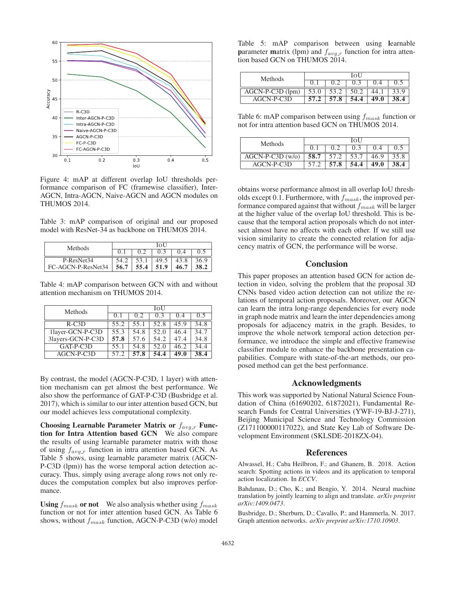

Figure 4: mAP at different overlap IoU thresholds performance comparison of FC (framewise classifier), Inter-AGCN, Intra-AGCN, Naive-AGCN and AGCN modules on THUMOS 2014.

Table 3: mAP comparison of original and our proposed model with ResNet-34 as backbone on THUMOS 2014.

| Methods            | IoU  |      |      |      |      |  |
|--------------------|------|------|------|------|------|--|
|                    |      |      |      |      |      |  |
| P-ResNet34         | 54.2 | 53.1 | 49.5 | 43.8 | 36.9 |  |
| FC-AGCN-P-ResNet34 | 56.7 | 55.4 | 51.9 | 46.7 |      |  |

Table 4: mAP comparison between GCN with and without attention mechanism on THUMOS 2014.

| Methods           | IOU  |      |      |       |      |  |
|-------------------|------|------|------|-------|------|--|
|                   | 0.1  | 0.2  | 0.3  | (0.4) | 0.5  |  |
| $R-C3D$           | 55.2 | 55.1 | 52.8 | 45.9  | 34.8 |  |
| 1layer-GCN-P-C3D  | 55.3 | 54.8 | 52.0 | 46.4  | 34.7 |  |
| 3layers-GCN-P-C3D | 57.8 | 57.6 | 54.2 | 47.4  | 34.8 |  |
| GAT-P-C3D         | 55.1 | 54.8 | 52.0 | 46.2  | 34.4 |  |
| $AGCN-P-C3D$      | 57.2 | 57.8 | 54.4 | 49.0  | 38.4 |  |

By contrast, the model (AGCN-P-C3D, 1 layer) with attention mechanism can get almost the best performance. We also show the performance of GAT-P-C3D (Busbridge et al. 2017), which is similar to our inter attention based GCN, but our model achieves less computational complexity.

Choosing Learnable Parameter Matrix or  $f_{avg,r}$  Function for Intra Attention based GCN We also compare the results of using learnable parameter matrix with those of using  $f_{avg,r}$  function in intra attention based GCN. As Table 5 shows, using learnable parameter matrix (AGCN-P-C3D (lpm)) has the worse temporal action detection accuracy. Thus, simply using average along rows not only reduces the computation complex but also improves performance.

Using  $f_{mask}$  or not We also analysis whether using  $f_{mask}$ function or not for inter attention based GCN. As Table 6 shows, without  $f_{mask}$  function, AGCN-P-C3D (w/o) model

Table 5: mAP comparison between using learnable parameter matrix (lpm) and  $f_{avg,r}$  function for intra attention based GCN on THUMOS 2014.

| <b>Methods</b>     | IOU           |      |      |       |      |  |
|--------------------|---------------|------|------|-------|------|--|
|                    |               |      | 0.3  | (0.4) |      |  |
| $AGCN-P-C3D$ (lpm) | $53.0$   53.2 |      | 50.2 | 44.1  | 33.9 |  |
| AGCN-P-C3D         | 57.2          | 57.8 | 54.4 | 49.0  | 38.4 |  |

Table 6: mAP comparison between using  $f_{mask}$  function or not for intra attention based GCN on THUMOS 2014.

| <b>Methods</b>     | IOU |               |      |      |      |  |
|--------------------|-----|---------------|------|------|------|--|
|                    |     | 0.2           | 0.3  |      |      |  |
| $AGCN-P-C3D (w/o)$ |     | $58.7$   57.2 | 53.7 | 46.9 | 35.8 |  |
| AGCN-P-C3D         |     | 57.8          | 54.4 | 49.0 | 38.4 |  |

obtains worse performance almost in all overlap IoU thresholds except 0.1. Furthermore, with  $f_{mask}$ , the improved performance compared against that without  $f_{mask}$  will be larger at the higher value of the overlap IoU threshold. This is because that the temporal action proposals which do not intersect almost have no affects with each other. If we still use vision similarity to create the connected relation for adjacency matrix of GCN, the performance will be worse.

# **Conclusion**

This paper proposes an attention based GCN for action detection in video, solving the problem that the proposal 3D CNNs based video action detection can not utilize the relations of temporal action proposals. Moreover, our AGCN can learn the intra long-range dependencies for every node in graph node matrix and learn the inter dependencies among proposals for adjacency matrix in the graph. Besides, to improve the whole network temporal action detection performance, we introduce the simple and effective framewise classifier module to enhance the backbone presentation capabilities. Compare with state-of-the-art methods, our proposed method can get the best performance.

### Acknowledgments

This work was supported by National Natural Science Foundation of China (61690202, 61872021), Fundamental Research Funds for Central Universities (YWF-19-BJ-J-271), Beijing Municipal Science and Technology Commission (Z171100000117022), and State Key Lab of Software Development Environment (SKLSDE-2018ZX-04).

#### References

Alwassel, H.; Caba Heilbron, F.; and Ghanem, B. 2018. Action search: Spotting actions in videos and its application to temporal action localization. In *ECCV*.

Bahdanau, D.; Cho, K.; and Bengio, Y. 2014. Neural machine translation by jointly learning to align and translate. *arXiv preprint arXiv:1409.0473*.

Busbridge, D.; Sherburn, D.; Cavallo, P.; and Hammerla, N. 2017. Graph attention networks. *arXiv preprint arXiv:1710.10903*.